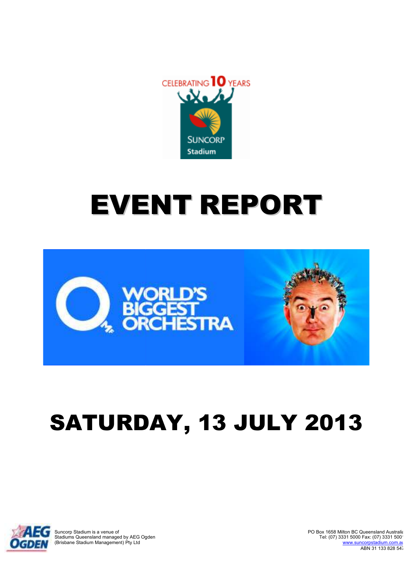

# EVENT REPORT



## SATURDAY, 13 SATURDAY, JULY JULY 2013



Suncorp Stadium is a venue of Stadiums Queensland managed by AEG Ogden (Brisbane Stadium Management) Pty Ltd PO Box 1658 Milton BC Queensland Australia Tel: (07) 3331 5000 Fax: (07) 3331 500 www.suncorpstadium.com.au ABN 31 133 828 547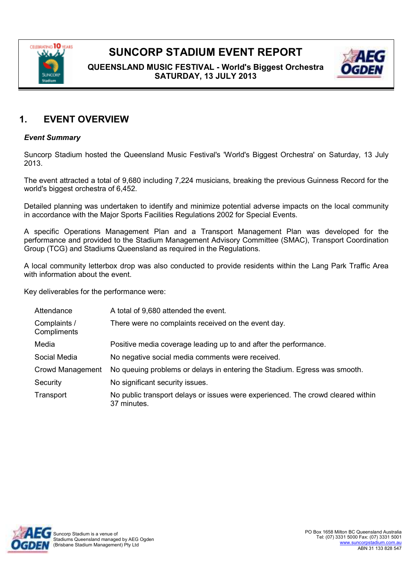

**QUEENSLAND MUSIC FESTIVAL - World's Biggest Orchestra SATURDAY, 13 JULY 2013**



#### **1. EVENT OVERVIEW**

#### *Event Summary*

Suncorp Stadium hosted the Queensland Music Festival's 'World's Biggest Orchestra' on Saturday, 13 July 2013.

The event attracted a total of 9,680 including 7,224 musicians, breaking the previous Guinness Record for the world's biggest orchestra of 6,452.

Detailed planning was undertaken to identify and minimize potential adverse impacts on the local community in accordance with the Major Sports Facilities Regulations 2002 for Special Events.

A specific Operations Management Plan and a Transport Management Plan was developed for the performance and provided to the Stadium Management Advisory Committee (SMAC), Transport Coordination Group (TCG) and Stadiums Queensland as required in the Regulations.

A local community letterbox drop was also conducted to provide residents within the Lang Park Traffic Area with information about the event.

Key deliverables for the performance were:

| Attendance                  | A total of 9,680 attended the event.                                                           |
|-----------------------------|------------------------------------------------------------------------------------------------|
| Complaints /<br>Compliments | There were no complaints received on the event day.                                            |
| Media                       | Positive media coverage leading up to and after the performance.                               |
| Social Media                | No negative social media comments were received.                                               |
| Crowd Management            | No queuing problems or delays in entering the Stadium. Egress was smooth.                      |
| Security                    | No significant security issues.                                                                |
| Transport                   | No public transport delays or issues were experienced. The crowd cleared within<br>37 minutes. |

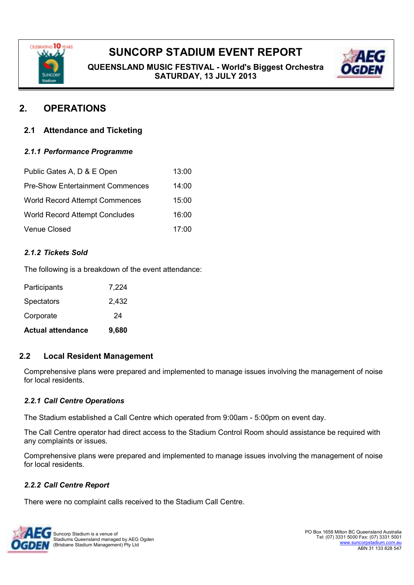

**QUEENSLAND MUSIC FESTIVAL - World's Biggest Orchestra SATURDAY, 13 JULY 2013**



### **2. OPERATIONS**

#### **2.1 Attendance and Ticketing**

#### *2.1.1 Performance Programme*

| Public Gates A, D & E Open              | 13:00 |
|-----------------------------------------|-------|
| <b>Pre-Show Entertainment Commences</b> | 14:00 |
| <b>World Record Attempt Commences</b>   | 15:00 |
| <b>World Record Attempt Concludes</b>   | 16:00 |
| Venue Closed                            | 17:00 |

#### *2.1.2 Tickets Sold*

The following is a breakdown of the event attendance:

| <b>Actual attendance</b> | 9,680 |
|--------------------------|-------|
| Corporate                | 24    |
| <b>Spectators</b>        | 2,432 |
| Participants             | 7,224 |

#### **2.2 Local Resident Management**

Comprehensive plans were prepared and implemented to manage issues involving the management of noise for local residents.

#### *2.2.1 Call Centre Operations*

The Stadium established a Call Centre which operated from 9:00am - 5:00pm on event day.

The Call Centre operator had direct access to the Stadium Control Room should assistance be required with any complaints or issues.

Comprehensive plans were prepared and implemented to manage issues involving the management of noise for local residents.

#### *2.2.2 Call Centre Report*

There were no complaint calls received to the Stadium Call Centre.

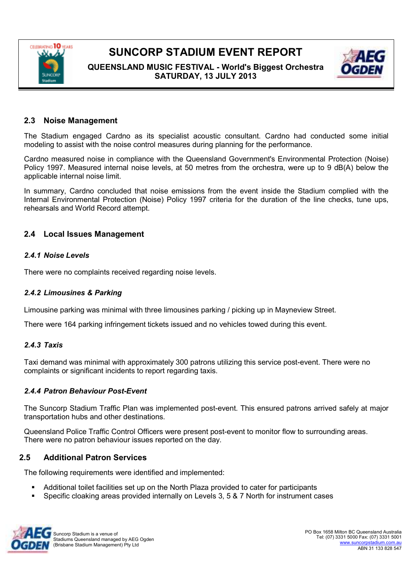

**QUEENSLAND MUSIC FESTIVAL - World's Biggest Orchestra SATURDAY, 13 JULY 2013**



#### **2.3 Noise Management**

The Stadium engaged Cardno as its specialist acoustic consultant. Cardno had conducted some initial modeling to assist with the noise control measures during planning for the performance.

Cardno measured noise in compliance with the Queensland Government's Environmental Protection (Noise) Policy 1997. Measured internal noise levels, at 50 metres from the orchestra, were up to 9 dB(A) below the applicable internal noise limit.

In summary, Cardno concluded that noise emissions from the event inside the Stadium complied with the Internal Environmental Protection (Noise) Policy 1997 criteria for the duration of the line checks, tune ups, rehearsals and World Record attempt.

#### **2.4 Local Issues Management**

#### *2.4.1 Noise Levels*

There were no complaints received regarding noise levels.

#### *2.4.2 Limousines & Parking*

Limousine parking was minimal with three limousines parking / picking up in Mayneview Street.

There were 164 parking infringement tickets issued and no vehicles towed during this event.

#### *2.4.3 Taxis*

Taxi demand was minimal with approximately 300 patrons utilizing this service post-event. There were no complaints or significant incidents to report regarding taxis.

#### *2.4.4 Patron Behaviour Post-Event*

The Suncorp Stadium Traffic Plan was implemented post-event. This ensured patrons arrived safely at major transportation hubs and other destinations.

Queensland Police Traffic Control Officers were present post-event to monitor flow to surrounding areas. There were no patron behaviour issues reported on the day.

#### **2.5 Additional Patron Services**

The following requirements were identified and implemented:

- Additional toilet facilities set up on the North Plaza provided to cater for participants
- Specific cloaking areas provided internally on Levels 3, 5 & 7 North for instrument cases